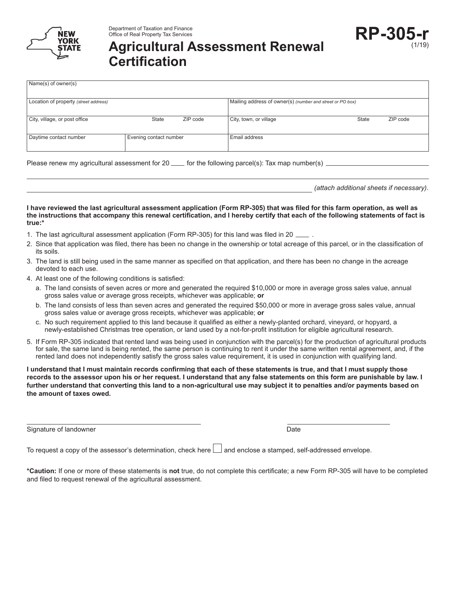

# **Agricultural Assessment Renewal Certification**

| Name(s) of owner(s)                   |                        |          |                                                           |       |          |
|---------------------------------------|------------------------|----------|-----------------------------------------------------------|-------|----------|
| Location of property (street address) |                        |          | Mailing address of owner(s) (number and street or PO box) |       |          |
| City, village, or post office         | State                  | ZIP code | City, town, or village                                    | State | ZIP code |
| Daytime contact number                | Evening contact number |          | Email address                                             |       |          |

Please renew my agricultural assessment for 20  $\mu$  for the following parcel(s): Tax map number(s)  $\mu$ 

*(attach additional sheets if necessary)*.

**I have reviewed the last agricultural assessment application (Form RP-305) that was filed for this farm operation, as well as the instructions that accompany this renewal certification, and I hereby certify that each of the following statements of fact is true:\***

- 1. The last agricultural assessment application (Form RP-305) for this land was filed in 20  $\_$
- 2. Since that application was filed, there has been no change in the ownership or total acreage of this parcel, or in the classification of its soils.
- 3. The land is still being used in the same manner as specified on that application, and there has been no change in the acreage devoted to each use.
- 4. At least one of the following conditions is satisfied:
	- a. The land consists of seven acres or more and generated the required \$10,000 or more in average gross sales value, annual gross sales value or average gross receipts, whichever was applicable; **or**
	- b. The land consists of less than seven acres and generated the required \$50,000 or more in average gross sales value, annual gross sales value or average gross receipts, whichever was applicable; **or**
	- c. No such requirement applied to this land because it qualified as either a newly-planted orchard, vineyard, or hopyard, a newly-established Christmas tree operation, or land used by a not-for-profit institution for eligible agricultural research.
- 5. If Form RP-305 indicated that rented land was being used in conjunction with the parcel(s) for the production of agricultural products for sale, the same land is being rented, the same person is continuing to rent it under the same written rental agreement, and, if the rented land does not independently satisfy the gross sales value requirement, it is used in conjunction with qualifying land.

**I understand that I must maintain records confirming that each of these statements is true, and that I must supply those records to the assessor upon his or her request. I understand that any false statements on this form are punishable by law. I further understand that converting this land to a non-agricultural use may subject it to penalties and/or payments based on the amount of taxes owed.**

Signature of landowner Date

To request a copy of the assessor's determination, check here  $\Box$  and enclose a stamped, self-addressed envelope.

**\*Caution:** If one or more of these statements is **not** true, do not complete this certificate; a new Form RP-305 will have to be completed and filed to request renewal of the agricultural assessment.